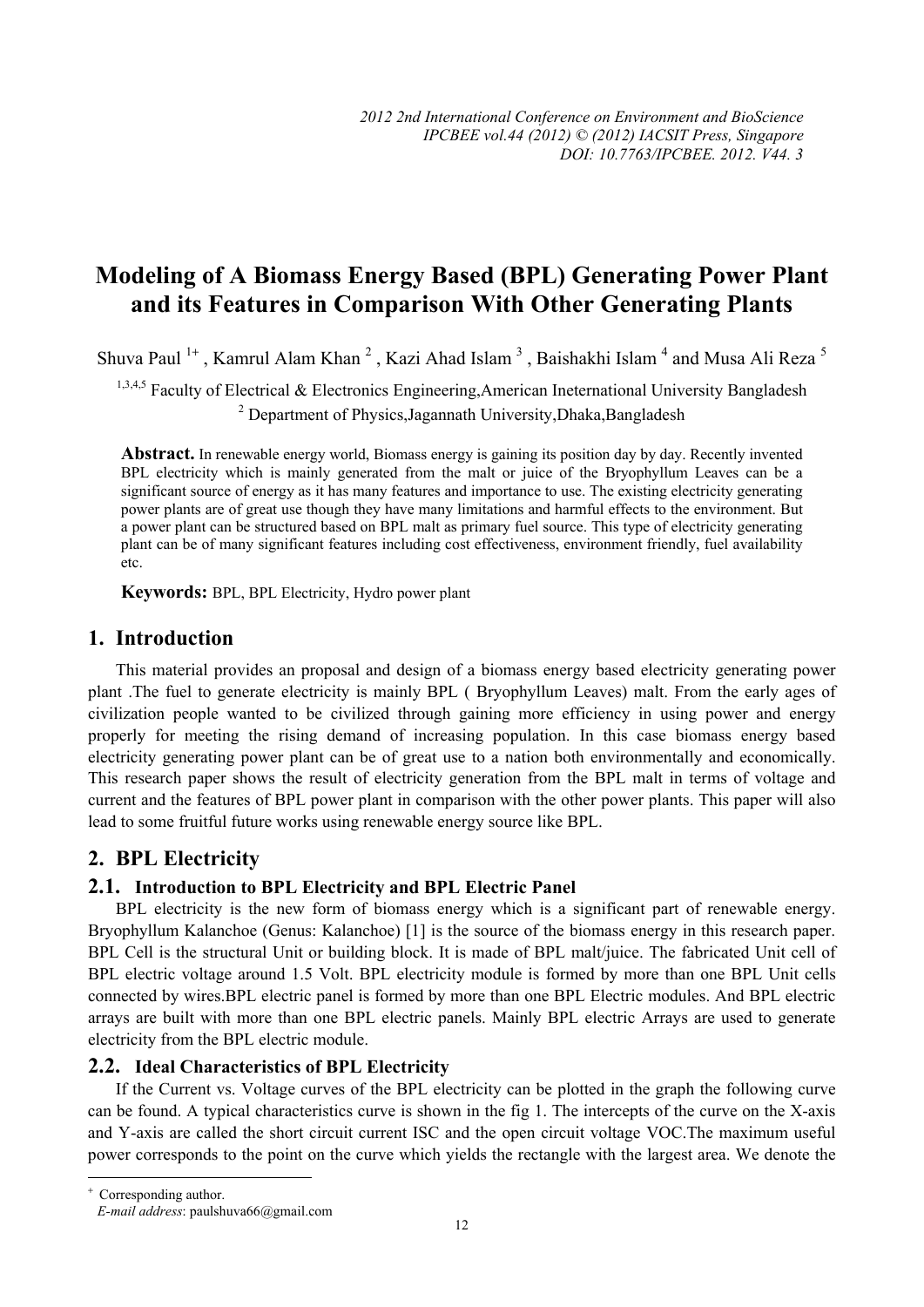# **Modeling of A Biomass Energy Based (BPL) Generating Power Plant and its Features in Comparison With Other Generating Plants**

Shuva Paul  $^{1+}$ , Kamrul Alam Khan  $^2$ , Kazi Ahad Islam  $^3$ , Baishakhi Islam  $^4$  and Musa Ali Reza  $^5$ 

<sup>1,3,4,5</sup> Faculty of Electrical & Electronics Engineering, American Ineternational University Bangladesh <sup>2</sup> Department of Physics,Jagannath University,Dhaka,Bangladesh

**Abstract.** In renewable energy world, Biomass energy is gaining its position day by day. Recently invented BPL electricity which is mainly generated from the malt or juice of the Bryophyllum Leaves can be a significant source of energy as it has many features and importance to use. The existing electricity generating power plants are of great use though they have many limitations and harmful effects to the environment. But a power plant can be structured based on BPL malt as primary fuel source. This type of electricity generating plant can be of many significant features including cost effectiveness, environment friendly, fuel availability etc.

**Keywords:** BPL, BPL Electricity, Hydro power plant

## **1. Introduction**

This material provides an proposal and design of a biomass energy based electricity generating power plant .The fuel to generate electricity is mainly BPL ( Bryophyllum Leaves) malt. From the early ages of civilization people wanted to be civilized through gaining more efficiency in using power and energy properly for meeting the rising demand of increasing population. In this case biomass energy based electricity generating power plant can be of great use to a nation both environmentally and economically. This research paper shows the result of electricity generation from the BPL malt in terms of voltage and current and the features of BPL power plant in comparison with the other power plants. This paper will also lead to some fruitful future works using renewable energy source like BPL.

## **2. BPL Electricity**

### **2.1. Introduction to BPL Electricity and BPL Electric Panel**

BPL electricity is the new form of biomass energy which is a significant part of renewable energy. Bryophyllum Kalanchoe (Genus: Kalanchoe) [1] is the source of the biomass energy in this research paper. BPL Cell is the structural Unit or building block. It is made of BPL malt/juice. The fabricated Unit cell of BPL electric voltage around 1.5 Volt. BPL electricity module is formed by more than one BPL Unit cells connected by wires.BPL electric panel is formed by more than one BPL Electric modules. And BPL electric arrays are built with more than one BPL electric panels. Mainly BPL electric Arrays are used to generate electricity from the BPL electric module.

### **2.2. Ideal Characteristics of BPL Electricity**

If the Current vs. Voltage curves of the BPL electricity can be plotted in the graph the following curve can be found. A typical characteristics curve is shown in the fig 1. The intercepts of the curve on the X-axis and Y-axis are called the short circuit current ISC and the open circuit voltage VOC.The maximum useful power corresponds to the point on the curve which yields the rectangle with the largest area. We denote the

 $\overline{a}$ 

<sup>+</sup> Corresponding author. *E-mail address*: paulshuva66@gmail.com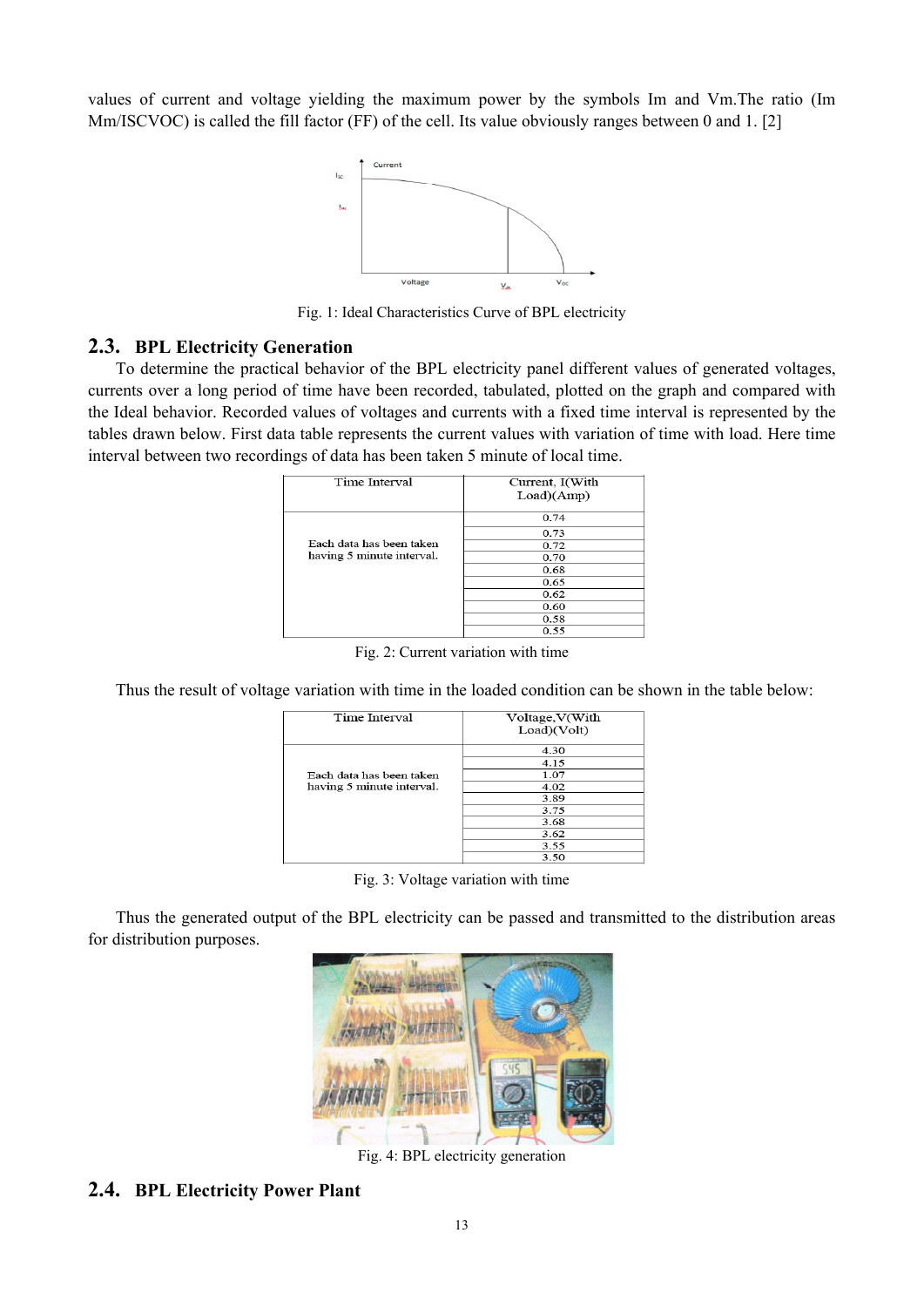values of current and voltage yielding the maximum power by the symbols Im and Vm.The ratio (Im Mm/ISCVOC) is called the fill factor (FF) of the cell. Its value obviously ranges between 0 and 1. [2]



Fig. 1: Ideal Characteristics Curve of BPL electricity

#### **2.3. BPL Electricity Generation**

To determine the practical behavior of the BPL electricity panel different values of generated voltages, currents over a long period of time have been recorded, tabulated, plotted on the graph and compared with the Ideal behavior. Recorded values of voltages and currents with a fixed time interval is represented by the tables drawn below. First data table represents the current values with variation of time with load. Here time interval between two recordings of data has been taken 5 minute of local time.

| Time Interval             | Current, I(With<br>Load)(Amp) |  |
|---------------------------|-------------------------------|--|
|                           | 0.74                          |  |
|                           | 0.73                          |  |
| Each data has been taken  | 0.72                          |  |
| having 5 minute interval. | 0.70                          |  |
|                           | 0.68                          |  |
|                           | 0.65                          |  |
|                           | 0.62                          |  |
|                           | 0.60                          |  |
|                           | 0.58                          |  |
|                           | 0.55                          |  |

Fig. 2: Current variation with time

Thus the result of voltage variation with time in the loaded condition can be shown in the table below:

| Time Interval             | Voltage, V(With<br>Load)(Volt) |
|---------------------------|--------------------------------|
|                           | 4.30                           |
|                           | 4.15                           |
| Each data has been taken  | 1.07                           |
| having 5 minute interval. | 4.02                           |
|                           | 3.89                           |
|                           | 3.75                           |
|                           | 3.68                           |
|                           | 3.62                           |
|                           | 3.55                           |
|                           | 3.50                           |

|  | Fig. 3: Voltage variation with time |  |
|--|-------------------------------------|--|
|  |                                     |  |

Thus the generated output of the BPL electricity can be passed and transmitted to the distribution areas for distribution purposes.



Fig. 4: BPL electricity generation

## **2.4. BPL Electricity Power Plant**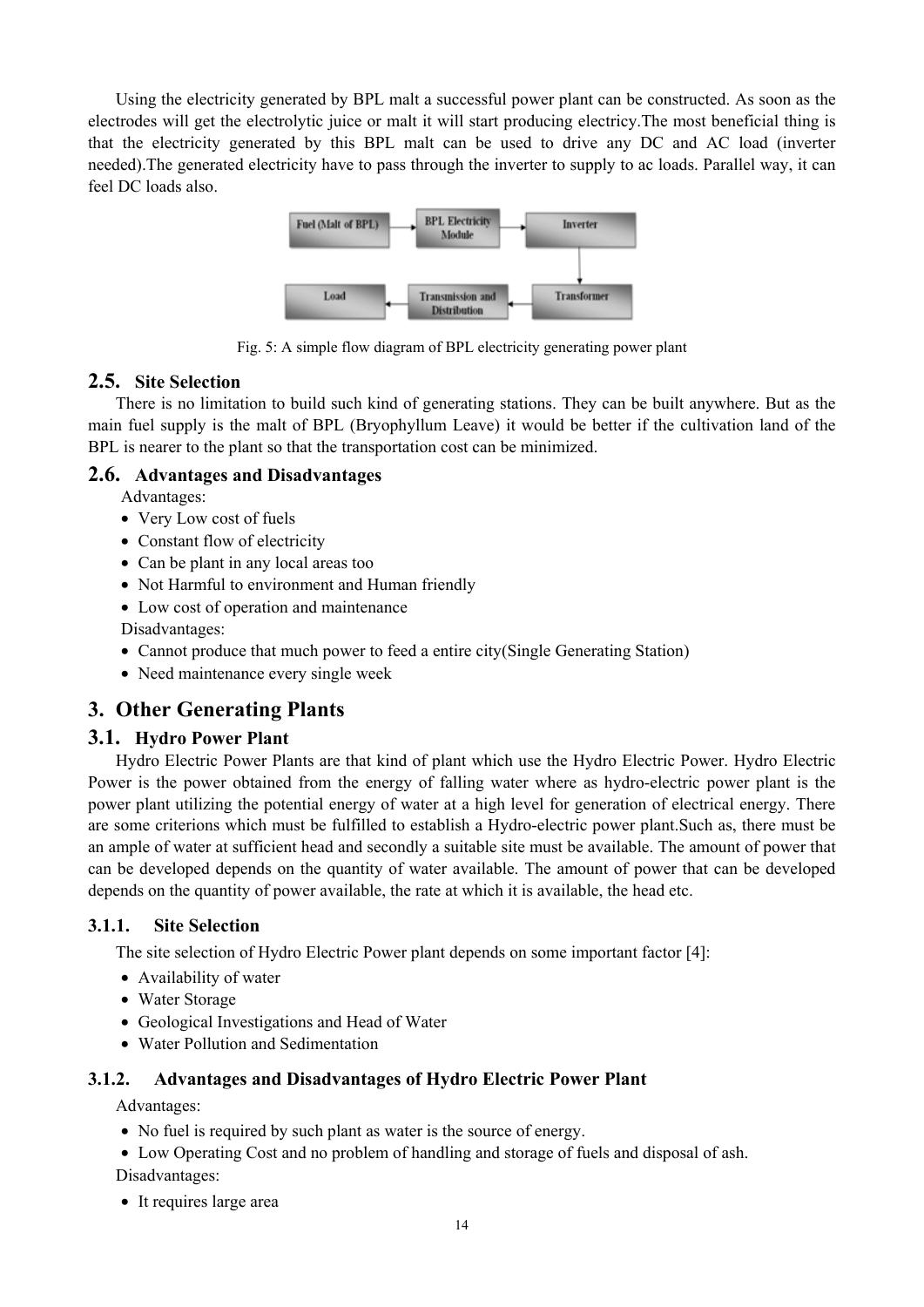Using the electricity generated by BPL malt a successful power plant can be constructed. As soon as the electrodes will get the electrolytic juice or malt it will start producing electricy.The most beneficial thing is that the electricity generated by this BPL malt can be used to drive any DC and AC load (inverter needed).The generated electricity have to pass through the inverter to supply to ac loads. Parallel way, it can feel DC loads also.



Fig. 5: A simple flow diagram of BPL electricity generating power plant

### **2.5. Site Selection**

There is no limitation to build such kind of generating stations. They can be built anywhere. But as the main fuel supply is the malt of BPL (Bryophyllum Leave) it would be better if the cultivation land of the BPL is nearer to the plant so that the transportation cost can be minimized.

## **2.6. Advantages and Disadvantages**

Advantages:

- Very Low cost of fuels
- Constant flow of electricity
- Can be plant in any local areas too
- Not Harmful to environment and Human friendly
- Low cost of operation and maintenance

Disadvantages:

- Cannot produce that much power to feed a entire city(Single Generating Station)
- Need maintenance every single week

## **3. Other Generating Plants**

### **3.1. Hydro Power Plant**

Hydro Electric Power Plants are that kind of plant which use the Hydro Electric Power. Hydro Electric Power is the power obtained from the energy of falling water where as hydro-electric power plant is the power plant utilizing the potential energy of water at a high level for generation of electrical energy. There are some criterions which must be fulfilled to establish a Hydro-electric power plant.Such as, there must be an ample of water at sufficient head and secondly a suitable site must be available. The amount of power that can be developed depends on the quantity of water available. The amount of power that can be developed depends on the quantity of power available, the rate at which it is available, the head etc.

### **3.1.1. Site Selection**

The site selection of Hydro Electric Power plant depends on some important factor [4]:

- Availability of water
- Water Storage
- Geological Investigations and Head of Water
- Water Pollution and Sedimentation

### **3.1.2. Advantages and Disadvantages of Hydro Electric Power Plant**

Advantages:

- No fuel is required by such plant as water is the source of energy.
- Low Operating Cost and no problem of handling and storage of fuels and disposal of ash. Disadvantages:
- It requires large area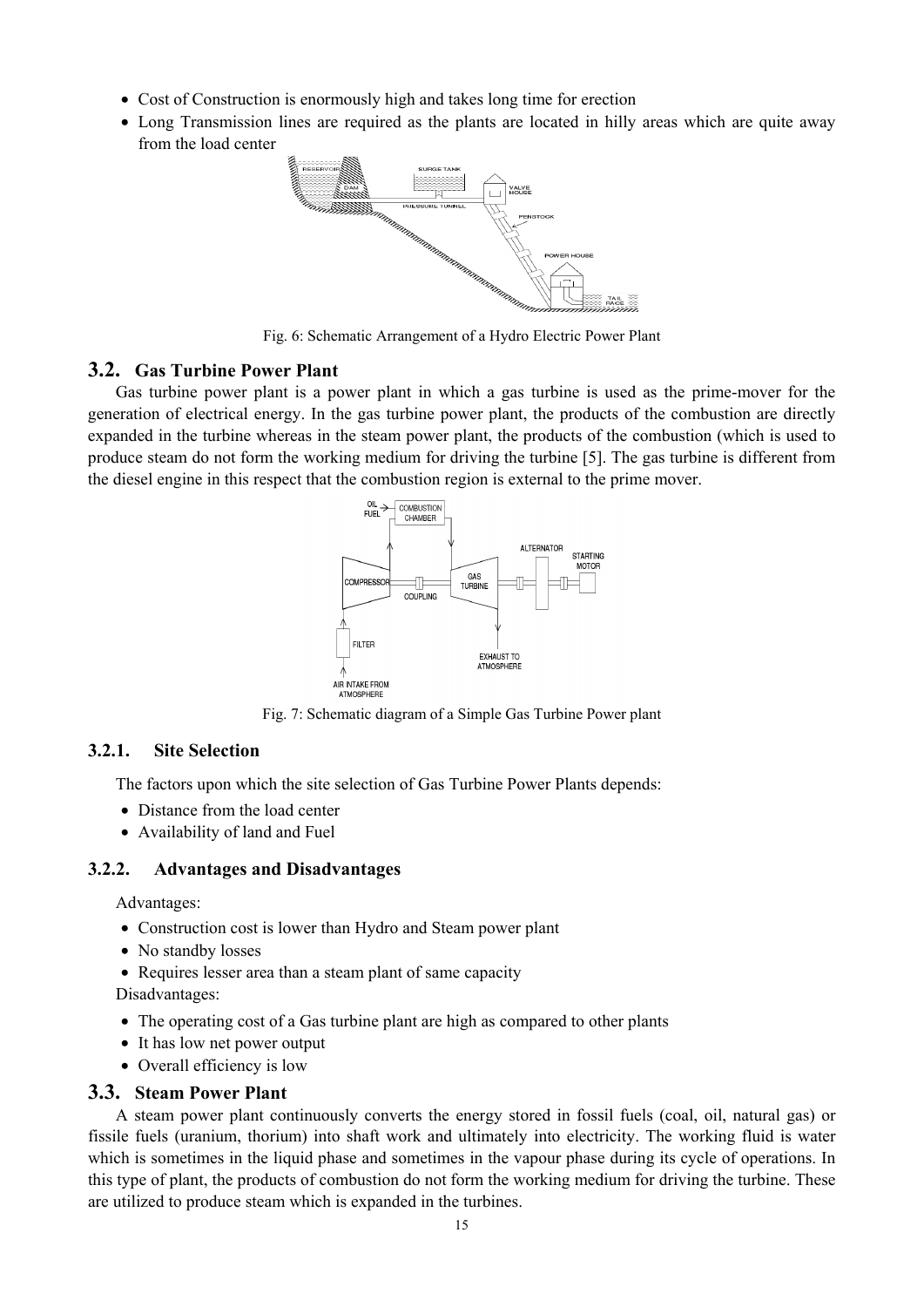- Cost of Construction is enormously high and takes long time for erection
- Long Transmission lines are required as the plants are located in hilly areas which are quite away from the load center



Fig. 6: Schematic Arrangement of a Hydro Electric Power Plant

#### **3.2. Gas Turbine Power Plant**

Gas turbine power plant is a power plant in which a gas turbine is used as the prime-mover for the generation of electrical energy. In the gas turbine power plant, the products of the combustion are directly expanded in the turbine whereas in the steam power plant, the products of the combustion (which is used to produce steam do not form the working medium for driving the turbine [5]. The gas turbine is different from the diesel engine in this respect that the combustion region is external to the prime mover.



Fig. 7: Schematic diagram of a Simple Gas Turbine Power plant

#### **3.2.1. Site Selection**

The factors upon which the site selection of Gas Turbine Power Plants depends:

- Distance from the load center
- Availability of land and Fuel

#### **3.2.2. Advantages and Disadvantages**

Advantages:

- Construction cost is lower than Hydro and Steam power plant
- No standby losses
- Requires lesser area than a steam plant of same capacity

Disadvantages:

- The operating cost of a Gas turbine plant are high as compared to other plants
- It has low net power output
- Overall efficiency is low

#### **3.3. Steam Power Plant**

A steam power plant continuously converts the energy stored in fossil fuels (coal, oil, natural gas) or fissile fuels (uranium, thorium) into shaft work and ultimately into electricity. The working fluid is water which is sometimes in the liquid phase and sometimes in the vapour phase during its cycle of operations. In this type of plant, the products of combustion do not form the working medium for driving the turbine. These are utilized to produce steam which is expanded in the turbines.